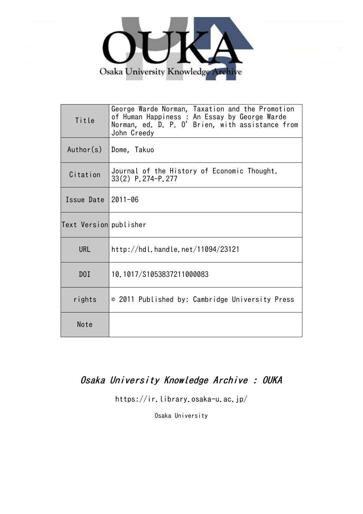

| Title                  | George Warde Norman, Taxation and the Promotion<br>of Human Happiness : An Essay by George Warde<br>Norman, ed. D. P. O' Brien, with assistance from<br>John Creedy |
|------------------------|---------------------------------------------------------------------------------------------------------------------------------------------------------------------|
| Author(s)              | Dome, Takuo                                                                                                                                                         |
| Citation               | Journal of the History of Economic Thought.<br>33(2) P. 274-P. 277                                                                                                  |
| Issue Date             | $2011 - 06$                                                                                                                                                         |
| Text Version publisher |                                                                                                                                                                     |
| <b>URL</b>             | http://hdl.handle.net/11094/23121                                                                                                                                   |
| D0I                    | 10.1017/S1053837211000083                                                                                                                                           |
| rights                 | © 2011 Published by: Cambridge University Press                                                                                                                     |
| Note                   |                                                                                                                                                                     |

# Osaka University Knowledge Archive : OUKA

https://ir.library.osaka-u.ac.jp/

Osaka University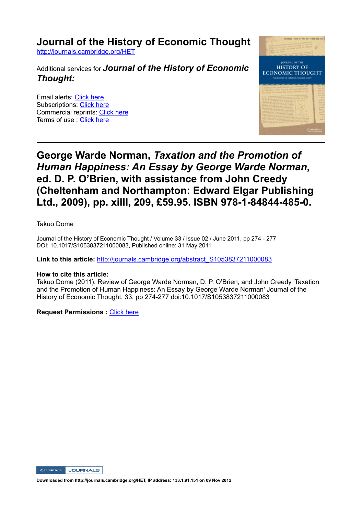**Journal of the History of Economic Thought**

http://journals.cambridge.org/HET

Additional services for *Journal of the History of Economic Thought:*

Email alerts: Click here Subscriptions: Click here Commercial reprints: Click here Terms of use : Click here



# **George Warde Norman,** *Taxation and the Promotion of Human Happiness: An Essay by George Warde Norman***, ed. D. P. O'Brien, with assistance from John Creedy (Cheltenham and Northampton: Edward Elgar Publishing**  Ltd., 2009), pp. xilll, 209, £59.95. ISBN 978-1-84844-485-0.

Takuo Dome

Journal of the History of Economic Thought / Volume 33 / Issue 02 / June 2011, pp 274 - 277 DOI: 10.1017/S1053837211000083, Published online: 31 May 2011

**Link to this article:** http://journals.cambridge.org/abstract\_S1053837211000083

#### **How to cite this article:**

Takuo Dome (2011). Review of George Warde Norman, D. P. O'Brien, and John Creedy 'Taxation and the Promotion of Human Happiness: An Essay by George Warde Norman' Journal of the History of Economic Thought, 33, pp 274277 doi:10.1017/S1053837211000083

**Request Permissions :** Click here



**Downloaded from http://journals.cambridge.org/HET, IP address: 133.1.91.151 on 09 Nov 2012**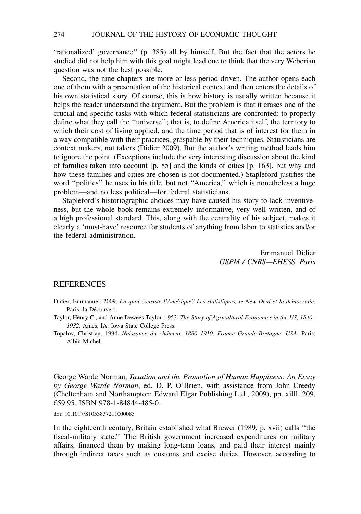'rationalized' governance'' (p. 385) all by himself. But the fact that the actors he studied did not help him with this goal might lead one to think that the very Weberian question was not the best possible.

Second, the nine chapters are more or less period driven. The author opens each one of them with a presentation of the historical context and then enters the details of his own statistical story. Of course, this is how history is usually written because it helps the reader understand the argument. But the problem is that it erases one of the crucial and specific tasks with which federal statisticians are confronted: to properly define what they call the ''universe''; that is, to define America itself, the territory to which their cost of living applied, and the time period that is of interest for them in a way compatible with their practices, graspable by their techniques. Statisticians are context makers, not takers (Didier 2009). But the author's writing method leads him to ignore the point. (Exceptions include the very interesting discussion about the kind of families taken into account [p. 85] and the kinds of cities [p. 163], but why and how these families and cities are chosen is not documented.) Stapleford justifies the word ''politics'' he uses in his title, but not ''America,'' which is nonetheless a huge problem—and no less political—for federal statisticians.

Stapleford's historiographic choices may have caused his story to lack inventiveness, but the whole book remains extremely informative, very well written, and of a high professional standard. This, along with the centrality of his subject, makes it clearly a 'must-have' resource for students of anything from labor to statistics and/or the federal administration.

> Emmanuel Didier GSPM / CNRS—EHESS, Paris

### **REFERENCES**

Didier, Emmanuel. 2009. En quoi consiste l'Amérique? Les statistiques, le New Deal et la démocratie. Paris: la Découvert.

Taylor, Henry C., and Anne Dewees Taylor. 1953. The Story of Agricultural Economics in the US, 1840– 1932. Ames, IA: Iowa State College Press.

Topalov, Christian. 1994. Naissance du chômeur, 1880-1910, France Grande-Bretagne, USA. Paris: Albin Michel.

George Warde Norman, Taxation and the Promotion of Human Happiness: An Essay by George Warde Norman, ed. D. P. O'Brien, with assistance from John Creedy (Cheltenham and Northampton: Edward Elgar Publishing Ltd., 2009), pp. xilll, 209, £59.95. ISBN 978-1-84844-485-0.

doi: 10.1017/S1053837211000083

In the eighteenth century, Britain established what Brewer (1989, p. xvii) calls ''the fiscal-military state.'' The British government increased expenditures on military affairs, financed them by making long-term loans, and paid their interest mainly through indirect taxes such as customs and excise duties. However, according to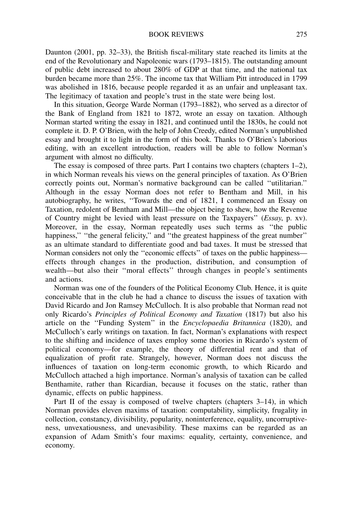Daunton (2001, pp. 32–33), the British fiscal-military state reached its limits at the end of the Revolutionary and Napoleonic wars (1793–1815). The outstanding amount of public debt increased to about 280% of GDP at that time, and the national tax burden became more than 25%. The income tax that William Pitt introduced in 1799 was abolished in 1816, because people regarded it as an unfair and unpleasant tax. The legitimacy of taxation and people's trust in the state were being lost.

In this situation, George Warde Norman (1793–1882), who served as a director of the Bank of England from 1821 to 1872, wrote an essay on taxation. Although Norman started writing the essay in 1821, and continued until the 1830s, he could not complete it. D. P. O'Brien, with the help of John Creedy, edited Norman's unpublished essay and brought it to light in the form of this book. Thanks to O'Brien's laborious editing, with an excellent introduction, readers will be able to follow Norman's argument with almost no difficulty.

The essay is composed of three parts. Part I contains two chapters (chapters 1–2), in which Norman reveals his views on the general principles of taxation. As O'Brien correctly points out, Norman's normative background can be called ''utilitarian.'' Although in the essay Norman does not refer to Bentham and Mill, in his autobiography, he writes, ''Towards the end of 1821, I commenced an Essay on Taxation, redolent of Bentham and Mill—the object being to shew, how the Revenue of Country might be levied with least pressure on the Taxpayers'' (Essay, p. xv). Moreover, in the essay, Norman repeatedly uses such terms as ''the public happiness," "the general felicity," and "the greatest happiness of the great number" as an ultimate standard to differentiate good and bad taxes. It must be stressed that Norman considers not only the ''economic effects'' of taxes on the public happiness effects through changes in the production, distribution, and consumption of wealth—but also their ''moral effects'' through changes in people's sentiments and actions.

Norman was one of the founders of the Political Economy Club. Hence, it is quite conceivable that in the club he had a chance to discuss the issues of taxation with David Ricardo and Jon Ramsey McCulloch. It is also probable that Norman read not only Ricardo's Principles of Political Economy and Taxation (1817) but also his article on the ''Funding System'' in the Encyclopaedia Britannica (1820), and McCulloch's early writings on taxation. In fact, Norman's explanations with respect to the shifting and incidence of taxes employ some theories in Ricardo's system of political economy—for example, the theory of differential rent and that of equalization of profit rate. Strangely, however, Norman does not discuss the influences of taxation on long-term economic growth, to which Ricardo and McCulloch attached a high importance. Norman's analysis of taxation can be called Benthamite, rather than Ricardian, because it focuses on the static, rather than dynamic, effects on public happiness.

Part II of the essay is composed of twelve chapters (chapters 3–14), in which Norman provides eleven maxims of taxation: computability, simplicity, frugality in collection, constancy, divisibility, popularity, noninterference, equality, uncorruptiveness, unvexatiousness, and unevasibility. These maxims can be regarded as an expansion of Adam Smith's four maxims: equality, certainty, convenience, and economy.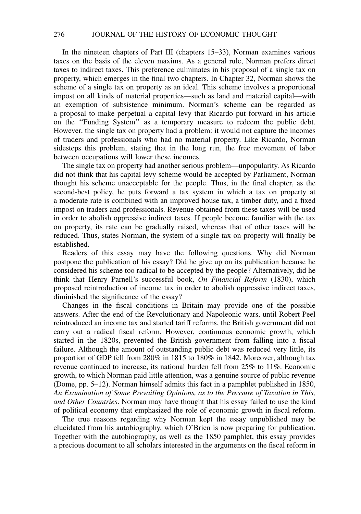In the nineteen chapters of Part III (chapters 15–33), Norman examines various taxes on the basis of the eleven maxims. As a general rule, Norman prefers direct taxes to indirect taxes. This preference culminates in his proposal of a single tax on property, which emerges in the final two chapters. In Chapter 32, Norman shows the scheme of a single tax on property as an ideal. This scheme involves a proportional impost on all kinds of material properties—such as land and material capital—with an exemption of subsistence minimum. Norman's scheme can be regarded as a proposal to make perpetual a capital levy that Ricardo put forward in his article on the ''Funding System'' as a temporary measure to redeem the public debt. However, the single tax on property had a problem: it would not capture the incomes of traders and professionals who had no material property. Like Ricardo, Norman sidesteps this problem, stating that in the long run, the free movement of labor between occupations will lower these incomes.

The single tax on property had another serious problem—unpopularity. As Ricardo did not think that his capital levy scheme would be accepted by Parliament, Norman thought his scheme unacceptable for the people. Thus, in the final chapter, as the second-best policy, he puts forward a tax system in which a tax on property at a moderate rate is combined with an improved house tax, a timber duty, and a fixed impost on traders and professionals. Revenue obtained from these taxes will be used in order to abolish oppressive indirect taxes. If people become familiar with the tax on property, its rate can be gradually raised, whereas that of other taxes will be reduced. Thus, states Norman, the system of a single tax on property will finally be established.

Readers of this essay may have the following questions. Why did Norman postpone the publication of his essay? Did he give up on its publication because he considered his scheme too radical to be accepted by the people? Alternatively, did he think that Henry Parnell's successful book, On Financial Reform (1830), which proposed reintroduction of income tax in order to abolish oppressive indirect taxes, diminished the significance of the essay?

Changes in the fiscal conditions in Britain may provide one of the possible answers. After the end of the Revolutionary and Napoleonic wars, until Robert Peel reintroduced an income tax and started tariff reforms, the British government did not carry out a radical fiscal reform. However, continuous economic growth, which started in the 1820s, prevented the British government from falling into a fiscal failure. Although the amount of outstanding public debt was reduced very little, its proportion of GDP fell from 280% in 1815 to 180% in 1842. Moreover, although tax revenue continued to increase, its national burden fell from 25% to 11%. Economic growth, to which Norman paid little attention, was a genuine source of public revenue (Dome, pp. 5–12). Norman himself admits this fact in a pamphlet published in 1850, An Examination of Some Prevailing Opinions, as to the Pressure of Taxation in This, and Other Countries. Norman may have thought that his essay failed to use the kind of political economy that emphasized the role of economic growth in fiscal reform.

The true reasons regarding why Norman kept the essay unpublished may be elucidated from his autobiography, which O'Brien is now preparing for publication. Together with the autobiography, as well as the 1850 pamphlet, this essay provides a precious document to all scholars interested in the arguments on the fiscal reform in